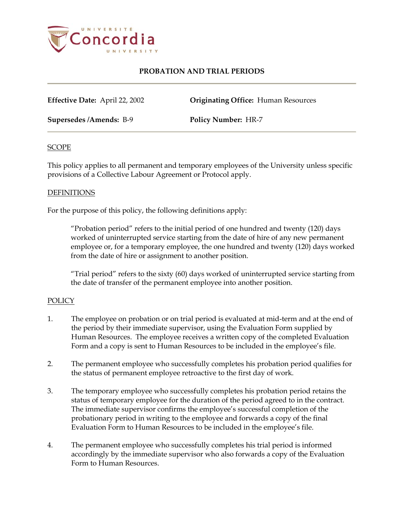

# **PROBATION AND TRIAL PERIODS**

**Effective Date:** April 22, 2002 **Originating Office:** Human Resources

**Supersedes /Amends:** B-9 **Policy Number:** HR-7

### **SCOPE**

This policy applies to all permanent and temporary employees of the University unless specific provisions of a Collective Labour Agreement or Protocol apply.

### **DEFINITIONS**

For the purpose of this policy, the following definitions apply:

"Probation period" refers to the initial period of one hundred and twenty (120) days worked of uninterrupted service starting from the date of hire of any new permanent employee or, for a temporary employee, the one hundred and twenty (120) days worked from the date of hire or assignment to another position.

"Trial period" refers to the sixty (60) days worked of uninterrupted service starting from the date of transfer of the permanent employee into another position.

### POLICY

- 1. The employee on probation or on trial period is evaluated at mid-term and at the end of the period by their immediate supervisor, using the Evaluation Form supplied by Human Resources. The employee receives a written copy of the completed Evaluation Form and a copy is sent to Human Resources to be included in the employee's file.
- 2. The permanent employee who successfully completes his probation period qualifies for the status of permanent employee retroactive to the first day of work.
- 3. The temporary employee who successfully completes his probation period retains the status of temporary employee for the duration of the period agreed to in the contract. The immediate supervisor confirms the employee's successful completion of the probationary period in writing to the employee and forwards a copy of the final Evaluation Form to Human Resources to be included in the employee's file.
- 4. The permanent employee who successfully completes his trial period is informed accordingly by the immediate supervisor who also forwards a copy of the Evaluation Form to Human Resources.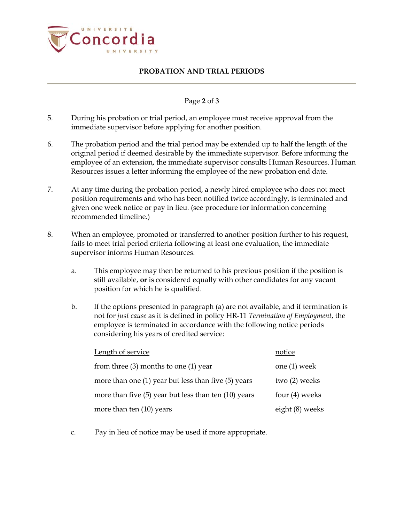

## **PROBATION AND TRIAL PERIODS**

## Page **2** of **3**

- 5. During his probation or trial period, an employee must receive approval from the immediate supervisor before applying for another position.
- 6. The probation period and the trial period may be extended up to half the length of the original period if deemed desirable by the immediate supervisor. Before informing the employee of an extension, the immediate supervisor consults Human Resources. Human Resources issues a letter informing the employee of the new probation end date.
- 7. At any time during the probation period, a newly hired employee who does not meet position requirements and who has been notified twice accordingly, is terminated and given one week notice or pay in lieu. (see procedure for information concerning recommended timeline.)
- 8. When an employee, promoted or transferred to another position further to his request, fails to meet trial period criteria following at least one evaluation, the immediate supervisor informs Human Resources.
	- a. This employee may then be returned to his previous position if the position is still available, **or** is considered equally with other candidates for any vacant position for which he is qualified.
	- b. If the options presented in paragraph (a) are not available, and if termination is not for *just cause* as it is defined in policy HR-11 *Termination of Employment*, the employee is terminated in accordance with the following notice periods considering his years of credited service:

| Length of service                                       | notice           |
|---------------------------------------------------------|------------------|
| from three $(3)$ months to one $(1)$ year               | one $(1)$ week   |
| more than one $(1)$ year but less than five $(5)$ years | two (2) weeks    |
| more than five (5) year but less than ten (10) years    | four $(4)$ weeks |
| more than ten (10) years                                | eight (8) weeks  |

c. Pay in lieu of notice may be used if more appropriate.